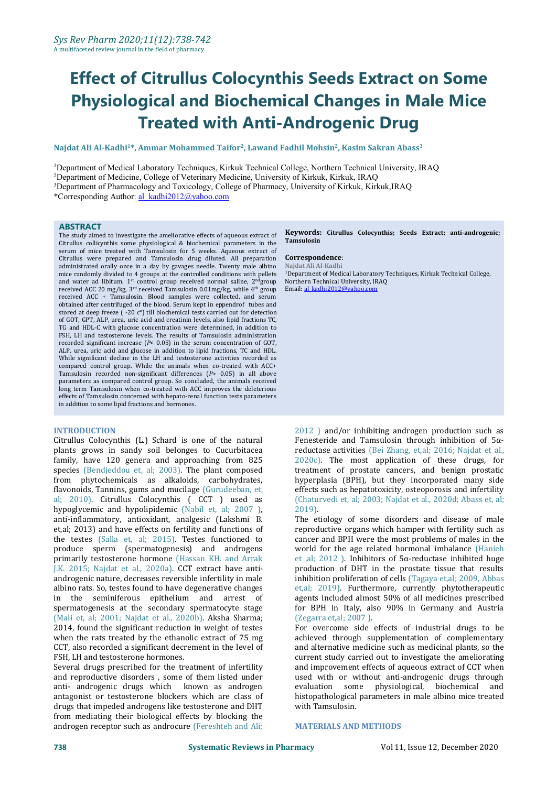# **Effect of Citrullus Colocynthis Seeds Extract on Some Physiological and Biochemical Changes in Male Mice Treated with Anti-Androgenic Drug**

### **Najdat Ali [Al-Kadhi](http://www.ejobios.org/article/enhancement-effect-of-sesame-seeds-oil-on-some-physiological-parameters-in-the-serum-of-female-mice-7989)<sup>1</sup>\*, Ammar Mohammed Taifor 2 , Lawand Fadhil Mohsin 2 , Kasim [Sakran](http://www.ejobios.org/article/enhancement-effect-of-sesame-seeds-oil-on-some-physiological-parameters-in-the-serum-of-female-mice-7989) Abass 3**

Department of Medical Laboratory [Techniques,](http://www.ejobios.org/article/enhancement-effect-of-sesame-seeds-oil-on-some-physiological-parameters-in-the-serum-of-female-mice-7989) Kirkuk Technical College, Northern Technical University, IRAQ [Department](http://www.ejobios.org/article/enhancement-effect-of-sesame-seeds-oil-on-some-physiological-parameters-in-the-serum-of-female-mice-7989) of Medicine, College of Veterinary Medicine, University of Kirkuk, Kirkuk, IRAQ Department of [Pharmacology](http://www.ejobios.org/article/enhancement-effect-of-sesame-seeds-oil-on-some-physiological-parameters-in-the-serum-of-female-mice-7989) and Toxicology, College of Pharmacy, University of Kirkuk, Kirkuk,IRAQ [\\*Corresponding](http://www.ejobios.org/article/enhancement-effect-of-sesame-seeds-oil-on-some-physiological-parameters-in-the-serum-of-female-mice-7989) Author: [al\\_kadhi2012@yahoo.com](mailto:al_kadhi2012@yahoo.com)

### **ABSTRACT**

The study aimed to investigate the ameliorative effects of aqueous extract of Citrullus collicynthis some physiological & biochemical parameters in the serum of mice treated with Tamsulosin for 5 weeks. Aqueous extract of Citrullus were prepared and Tamsulosin drug diluted. All preparation **Correspondence**<br>administrated orally once in a day by gavages needle Twenty male albino Maidat.Ali.Al-Kadhi administrated orally once in a day by gavages needle. Twenty male albino mice randomly divided to 4 groups at the controlled conditions with pellets and water ad libitum.  $1^{st}$  control group received normal saline,  $2^{nd}$ group  $\,$  Northern Tec. received ACC 20 mg/kg, 3<sup>ra</sup> received Tamsulosin 0.01mg/kg, while 4<sup>m</sup> group — Email: <u>al-kad.</u> received ACC + Tamsulosin. Blood samples were collected, and serum obtained after centrifuged of the blood. Serum kept in eppendrof tubes and stored at deep freeze  $($ -20  $c$ <sup>o</sup>) till biochemical tests carried out for detection of GOT, GPT, ALP, urea, uric acid and creatinin levels, also lipid fractions TC, TG and HDL-C with glucose concentration were determined, in addition to FSH, LH and testosterone levels. The results of Tamsulosin administration recorded significant increase (*P*< 0.05) in the serum concentration of GOT, ALP, urea, uric acid and glucose in addition to lipid fractions, TC and HDL. While significant decline in the LH and testosterone activities recorded as compared control group. While the animals when co-treated with ACC+ Tamsulosin recorded non-significant differences (*P*> 0.05) in all above parameters as compared control group. So concluded, the animals received long term Tamsulosin when co-treated with ACC improves the deleterious effects of Tamsulosin concerned with hepato-renal function tests parameters in addition to some lipid fractions and hormones.

### **INTRODUCTION**

Citrullus Colocynthis (L.) Schard is one of the natural plants grows in sandy soil belonges to Cucurbitacea family, have 120 genera and approaching from 825 species (Bendjeddou et, al; 2003). The plant composed from phytochemicals as alkaloids, carbohydrates, flavonoids, Tannins, gums and mucilage (Gurudeeban, et, al; 2010). Citrullus Colocynthis ( CCT ) used as hypoglycemic and hypolipidemic (Nabil et, al; 2007 ), anti-inflammatory, antioxidant, analgesic (Lakshmi B. et,al; 2013) and have effects on fertility and functions of the testes (Salla et, al; 2015). Testes functioned to produce sperm (spermatogenesis) and androgens primarily testosterone hormone (Hassan KH. and Arrak J.K. 2015; Najdat et al., 2020a). CCT extract have anti androgenic nature, decreases reversible infertility in male albino rats. So, testes found to have degenerative changes in the seminiferous epithelium and arrest of spermatogenesis at the secondary spermatocyte stage (Mali et, al; 2001; Najdat et al., 2020b). Aksha Sharma; 2014, found the significant reduction in weight of testes when the rats treated by the ethanolic extract of 75 mg CCT, also recorded a significant decrement in the level of FSH, LH and testosterone hormones.

Several drugs prescribed for the treatment of infertility and reproductive disorders, some of them listed under and used with anti-androgenic drugs which known as androgen evaluation anti- androgenic drugs which known as androgen antagonist or testosterone blockers which are class of drugs that impeded androgens like testosterone and DHT from mediating their biological effects by blocking the androgen receptor such as androcure (Fereshteh and Ali;

### **Keywords: Citrullus Colocynthis; Seeds Extract; anti-androgenic; Tamsulosin**

### $Correspondence:$

<sup>nd</sup>group Northern Technical University, IRAQ <sup>th</sup> group Email: <u>[al\\_kadhi2012@yahoo.com](mailto:al_kadhi2012@yahoo.com)</u> <sup>1</sup>[Department](http://www.ejobios.org/article/enhancement-effect-of-sesame-seeds-oil-on-some-physiological-parameters-in-the-serum-of-female-mice-7989) of Medical Laboratory Techniques, Kirkuk Technical College,

> 2012 ) and/or inhibiting androgen production such as Fenesteride and Tamsulosin through inhibition of 5α reductase activities (Bei Zhang, et,al; 2016; Najdat et al., 2020c). The most application of these drugs, for treatment of prostate cancers, and benign prostatic hyperplasia (BPH), but they incorporated many side effects such as hepatotoxicity, osteoporosis and infertility (Chaturvedi et, al; 2003; Najdat et al., 2020d; Abass et, al; 2019).

> The etiology of some disorders and disease of male reproductive organs which hamper with fertility such as cancer and BPH were the most problems of males in the world for the age related hormonal imbalance (Hanieh et ,al; 2012 ). Inhibitors of 5α-reductase inhibited huge production of DHT in the prostate tissue that results inhibition proliferation of cells (Tagaya et,al; 2009, Abbas et,al; 2019). Furthermore, currently phytotherapeutic agents included almost 50% of all medicines prescribed for BPH in Italy, also 90% in Germany and Austria (Zegarra et,al; 2007 ).

> For overcome side effects of industrial drugs to be achieved through supplementation of complementary and alternative medicine such as medicinal plants, so the current study carried out to investigate the ameliorating and improvement effects of aqueous extract of CCT when used with or without anti-androgenic drugs through some physiological, biochemical and histopathological parameters in male albino mice treated with Tamsulosin.

### **MATERIALS AND METHODS**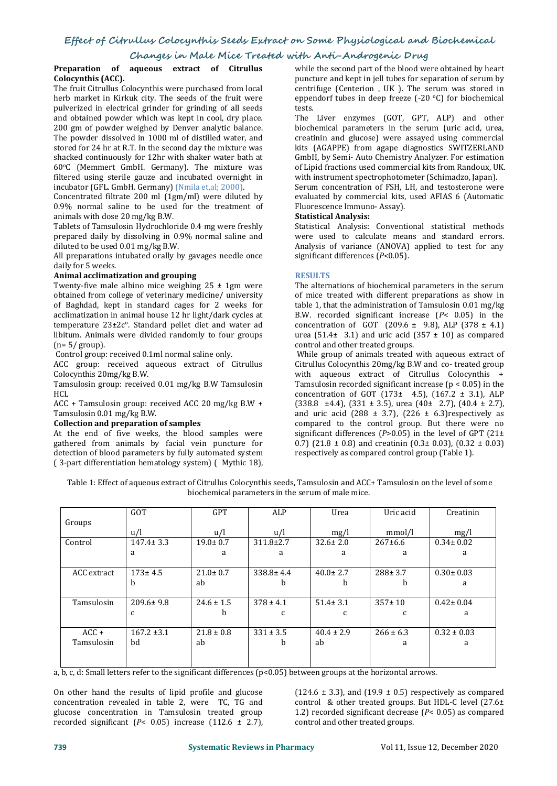# **Changes in Male Mice Treated with Anti-Androgenic Drug**

### **Preparation of aqueous extract of Citrullus Colocynthis (ACC).**

The fruit Citrullus Colocynthis were purchased from local herb market in Kirkuk city. The seeds of the fruit were eppertuined in electrical grinder for grinding of all seeds pulverized in electrical grinder for grinding of all seeds and obtained powder which was kept in cool, dry place. 200 gm of powder weighed by Denver analytic balance. The powder dissolved in 1000 ml of distilled water, and stored for 24 hr at R.T. In the second day the mixture was shacked continuously for 12hr with shaker water bath at 60 <sup>o</sup>C (Memmert GmbH. Germany). The mixture was filtered using sterile gauze and incubated overnight in incubator (GFL. GmbH. Germany) (Nmila et,al; 2000).

Concentrated filtrate 200 ml (1gm/ml) were diluted by 0.9% normal saline to be used for the treatment of  $\frac{1}{10}$  Fluorescence Immun animals with dose 20 mg/kg B.W. Statistical Analysis: animals with dose 20 mg/kg B.W.

Tablets of Tamsulosin Hydrochloride 0.4 mg were freshly prepared daily by dissolving in 0.9% normal saline and diluted to be used 0.01 mg/kg B.W.

All preparations intubated orally by gavages needle once daily for 5 weeks.

### daily for <sup>5</sup> weeks.**Animal acclimatization and grouping**

Twenty-five male albino mice weighing  $25 \pm 1$ gm were obtained from college of veterinary medicine/ university of Baghdad, kept in standard cages for 2 weeks for acclimatization in animal house 12 hr light/dark cycles at temperature 23±2c°. Standard pellet diet and water ad libitum. Animals were divided randomly to four groups  $(n=5/group)$ .

Control group: received 0.1ml normal saline only.

ACC group: received aqueous extract of Citrullus Colocynthis 20mg/kg B.W.

Tamsulosin group: received 0.01 mg/kg B.W Tamsulosin HCL **Here** 

ACC + Tamsulosin group: received ACC 20 mg/kg B.W +  $(338.8 \pm 4.4)$ ,  $(331 \pm 3.5)$ , u Tamsulosin 0.01 mg/kg B.W. **Collection and preparation of samples**

At the end of five weeks, the blood samples were gathered from animals by facial vein puncture for detection of blood parameters by fully automated system ( 3-part differentiation hematology system) ( Mythic 18), while the second part of the blood were obtained by heart puncture and kept in jell tubes for separation of serum by centrifuge (Centerion , UK ). The serum was stored in eppendorf tubes in deep freeze (-20 °C) for biochemical tests.

The Liver enzymes (GOT, GPT, ALP) and other biochemical parameters in the serum (uric acid, urea, creatinin and glucose) were assayed using commercial kits (AGAPPE) from agape diagnostics SWITZERLAND GmbH, by Semi- Auto Chemistry Analyzer. For estimation of Lipid fractions used commercial kits from Randoux, UK. with instrument spectrophotometer (Schimadzo, Japan).

Serum concentration of FSH, LH, and testosterone were evaluated by commercial kits, used AFIAS 6 (Automatic Fluorescence Immuno- Assay).

Statistical Analysis: Conventional statistical methods were used to calculate means and standard errors. Analysis of variance (ANOVA) applied to test for any significant differences (*P*<0.05).

### **RESULTS**

The alternations of biochemical parameters in the serum of mice treated with different preparations as show in table 1, that the administration of Tamsulosin 0.01 mg/kg B.W. recorded significant increase (*P*< 0.05) in the concentration of GOT (209.6  $\pm$  9.8), ALP (378  $\pm$  4.1) urea (51.4 $\pm$  3.1) and uric acid (357  $\pm$  10) as compared control and other treated groups.

While group of animals treated with aqueous extract of Citrullus Colocynthis 20mg/kg B.W and co- treated group with aqueous extract of Citrullus Colocynthis + Tamsulosin recorded significant increase ( $p < 0.05$ ) in the concentration of GOT  $(173± 4.5)$ ,  $(167.2 ± 3.1)$ , ALP  $(338.8 \pm 4.4)$ ,  $(331 \pm 3.5)$ , urea  $(40 \pm 2.7)$ ,  $(40.4 \pm 2.7)$ , and uric acid (288  $\pm$  3.7), (226  $\pm$  6.3)respectively as compared to the control group. But there were no significant differences (*P*>0.05) in the level of GPT (21± 0.7) (21.8  $\pm$  0.8) and creatinin (0.3 $\pm$  0.03), (0.32  $\pm$  0.03) respectively as compared control group (Table 1).

Table 1: Effect of aqueous extract of Citrullus Colocynthis seeds, Tamsulosin and ACC+ Tamsulosin on the level ofsome biochemical parameters in the serum of male mice.

|             | <b>GOT</b>      | <b>GPT</b>     | ALP             | Urea           | Uric acid     | Creatinin       |
|-------------|-----------------|----------------|-----------------|----------------|---------------|-----------------|
| Groups      |                 |                |                 |                |               |                 |
|             | u/l             | u/l            | u/l             | mg/l           | mmol/l        | mg/l            |
| Control     | $147.4 \pm 3.3$ | $19.0 \pm 0.7$ | $311.8 \pm 2.7$ | $32.6 \pm 2.0$ | $267 \pm 6.6$ | $0.34 \pm 0.02$ |
|             | a               | a              | a               | a              | a             | a               |
|             |                 |                |                 |                |               |                 |
| ACC extract | $173 \pm 4.5$   | $21.0 \pm 0.7$ | $338.8 \pm 4.4$ | $40.0 \pm 2.7$ | $288 \pm 3.7$ | $0.30 \pm 0.03$ |
|             | h               | ab             |                 |                |               | a               |
|             |                 |                |                 |                |               |                 |
| Tamsulosin  | $209.6 \pm 9.8$ | $24.6 \pm 1.5$ | $378 \pm 4.1$   | $51.4 \pm 3.1$ | $357 + 10$    | $0.42 \pm 0.04$ |
|             |                 | b              |                 |                | C.            | a               |
|             |                 |                |                 |                |               |                 |
| $ACC +$     | $167.2 \pm 3.1$ | $21.8 \pm 0.8$ | $331 \pm 3.5$   | $40.4 \pm 2.9$ | $266 \pm 6.3$ | $0.32 \pm 0.03$ |
| Tamsulosin  | bd              | ab             | b               | ab             | a             | a               |
|             |                 |                |                 |                |               |                 |
|             |                 |                |                 |                |               |                 |

a, b, c, d: Small letters refer to the significant differences (p<0.05) between groups atthe horizontal arrows.

On other hand the results of lipid profile and glucose  $(124.6 \pm 3.3)$ , and  $(19.9 \pm 0.5)$  respectively as compared concentration revealed in table 2, were TC, TG and glucose concentration in Tamsulosin treated group recorded significant ( $P < 0.05$ ) increase (112.6  $\pm$  2.7),

On other hand the results of lipid profile and glucose  $(124.6 \pm 3.3)$ , and  $(19.9 \pm 0.5)$  respectively as compared concentration revealed in table 2, were TC, TG and control & other treated groups. But HDL-C level  $(27.6$ control & other treated groups. But HDL-C level (27.6± 1.2) recorded significant decrease (*P*< 0.05) as compared control and other treated groups.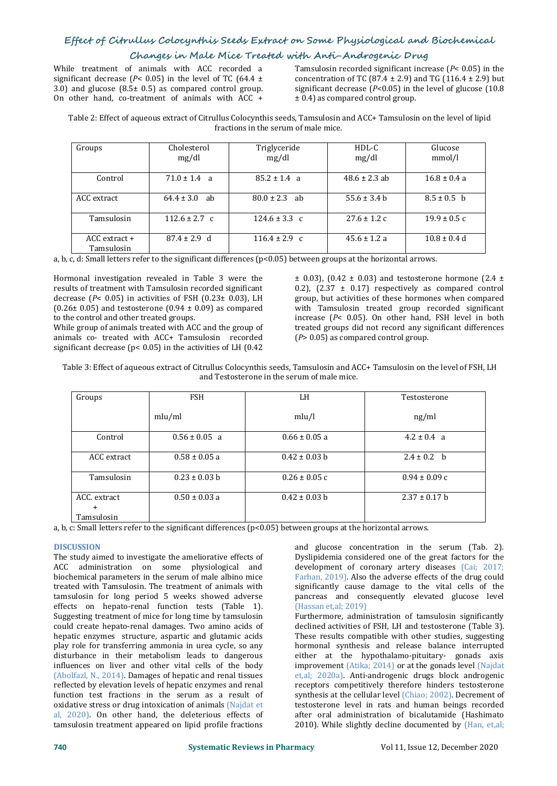# **Changes in Male Mice Treated with Anti-Androgenic Drug**

significant decrease ( $P$ < 0.05) in the level of TC ( $64.4 \pm 3.0$ ) and glucose ( $8.5 \pm 0.5$ ) as compared control group. While treatment of animals with ACC recorded a<br>significant decrease  $(P< 0.05)$  in the level of TC  $(64.4 \pm 3.0)$  and TG  $(116.4 \pm 2.9)$  but<br>3.0) and glucose  $(8.5\pm 0.5)$  as compared control group.<br>8.0) and glucose  $(10.8$ 

While treatment of animals with ACC recorded a Tamsulosin recorded significant increase ( $P < 0.05$ ) in the concentration of TC (87.4  $\pm$  2.9) and TG (116.4  $\pm$  2.9) but significant decrease  $(P< 0.05)$  in the level of glucose  $(10.8)$ ± 0.4) as compared control group.

Table 2: Effect of aqueous extract of Citrullus Colocynthis seeds, Tamsulosin and ACC+ Tamsulosin on the level of lipid fractions in the serum of male mice.

| Groups                          | Cholesterol<br>mg/dl | Triglyceride<br>mg/dl | $HDL-C$<br>mg/dl  | Glucose<br>mmol/l |
|---------------------------------|----------------------|-----------------------|-------------------|-------------------|
| Control                         | $71.0 \pm 1.4$ a     | $85.2 \pm 1.4$ a      | $48.6 \pm 2.3$ ab | $16.8 \pm 0.4 a$  |
| ACC extract                     | $64.4 \pm 3.0$ ab    | $80.0 \pm 2.3$ ab     | $55.6 \pm 3.4 b$  | $8.5 \pm 0.5$ b   |
| Tamsulosin                      | $112.6 \pm 2.7$ c    | $124.6 \pm 3.3$ c     | $27.6 \pm 1.2$ c  | $19.9 \pm 0.5 c$  |
| $ACC$ extract $+$<br>Tamsulosin | $87.4 \pm 2.9$ d     | $116.4 \pm 2.9$ c     | $45.6 \pm 1.2 a$  | $10.8 \pm 0.4$ d  |

a, b, c, d: Small letters refer to the significant differences (p<0.05) between groups atthe horizontal arrows.

Hormonal investigation revealed in Table 3 were the results of treatment with Tamsulosin recorded significant decrease (*P*< 0.05) in activities of FSH (0.23± 0.03), LH (0.26 $\pm$  0.05) and testosterone (0.94  $\pm$  0.09) as compared to the control and other treated groups.

While group of animals treated with ACC and the group of animals co-treated with ACC+ Tamsulosin recorded significant decrease ( $p$ < 0.05) in the activities of LH (0.42

 $\pm$  0.03), (0.42  $\pm$  0.03) and testosterone hormone (2.4  $\pm$ 0.2),  $(2.37 \pm 0.17)$  respectively as compared control group, but activities of these hormones when compared with Tamsulosin treated group recorded significant increase (*P*< 0.05). On other hand, FSH level in both treated groups did not record any significant differences (*P*> 0.05) as compared control group.

Table 3: Effect of aqueous extract of Citrullus Colocynthis seeds, Tamsulosin and ACC+ Tamsulosin on the level of FSH, LH and Testosterone in the serum of male mice.

| Groups       | <b>FSH</b>        | LH                | Testosterone      |
|--------------|-------------------|-------------------|-------------------|
|              | mlu/ml            | mIu/l             | ng/ml             |
| Control      | $0.56 \pm 0.05$ a | $0.66 \pm 0.05$ a | $4.2 \pm 0.4$ a   |
| ACC extract  | $0.58 \pm 0.05$ a | $0.42 \pm 0.03$ b | $2.4 \pm 0.2$ b   |
| Tamsulosin   | $0.23 \pm 0.03$ b | $0.26 \pm 0.05$ c | $0.94 \pm 0.09$ c |
| ACC. extract | $0.50 \pm 0.03$ a | $0.42 \pm 0.03$ b | $2.37 \pm 0.17$ b |
| $\pm$        |                   |                   |                   |
| Tamsulosin   |                   |                   |                   |

a, b, c: Small letters refer to the significant differences (p<0.05) between groups atthe horizontal arrows.

### **DISCUSSION**

The study aimed to investigate the ameliorative effects of ACC administration on some physiological and biochemical parameters in the serum of male albino mice treated with Tamsulosin. The treatment of animals with tamsulosin for long period 5 weeks showed adverse effects on hepato-renal function tests (Table 1). Suggesting treatment of mice for long time by tamsulosin could create hepato-renal damages. Two amino acids of hepatic enzymes structure, aspartic and glutamic acids play role for transferring ammonia in urea cycle, so any disturbance in their metabolism leads to dangerous influences on liver and other vital cells of the body (Abolfazl, N., 2014). Damages of hepatic and renal tissues reflected by elevation levels of hepatic enzymes and renal function test fractions in the serum as a result of oxidative stress or drug intoxication of animals (Najdat et al, 2020). On other hand, the deleterious effects of tamsulosin treatment appeared on lipid profile fractions

and glucose concentration in the serum (Tab. 2). Dyslipidemia considered one of the great factors for the development of coronary artery diseases (Cai; 2017; Farhan, 2019). Also the adverse effects of the drug could significantly cause damage to the vital cells of the pancreas and consequently elevated glucose level (Hassan et,al; 2019) Furthermore, administration of tamsulosin significantly declined activities of FSH, LH and testosterone (Table 3). These results compatible with other studies, suggesting hormonal synthesis and release balance interrupted either at the hypothalamo-pituitary- gonads axis improvement (Atika; 2014) or at the gonads level (Najdat et,al; 2020a). Anti-androgenic drugs block androgenic receptors competitively therefore hinders testosterone synthesis at the cellular level (Chiao; 2002). Decrement of testosterone level in rats and human beings recorded after oral administration of bicalutamide (Hashimato 2010). While slightly decline documented by (Han, et,al;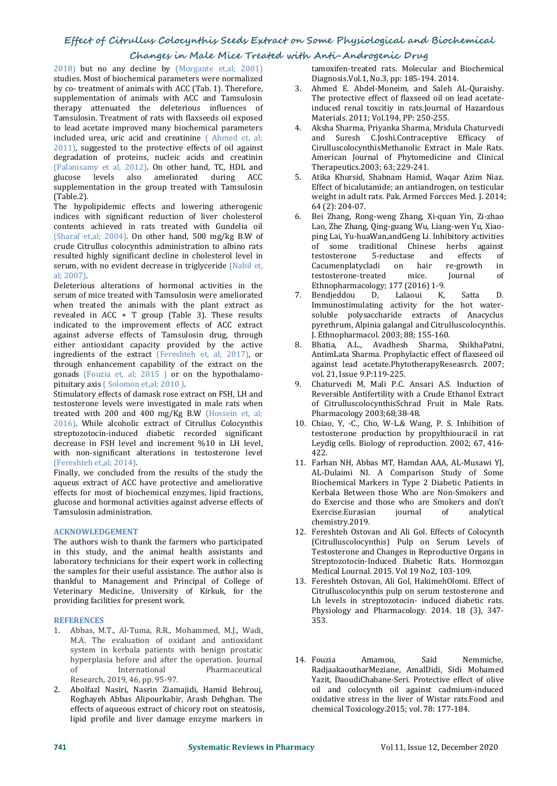# **Changes in Male Mice Treated with Anti-Androgenic Drug**

2018) but no any decline by (Morgante et,al; 2001) studies. Most of biochemical parameters were normalized by co- treatment of animals with ACC (Tab. 1). Therefore, supplementation of animals with ACC and Tamsulosin therapy attenuated the deleterious influences of Tamsulosin. Treatment of rats with flaxseeds oil exposed to lead acetate improved many biochemical parameters included urea, uric acid and creatinine ( Ahmed et, al; 2011), suggested to the protective effects of oil against degradation of proteins, nucleic acids and creatinin (Palanisamy et al, 2012). On other hand, TC, HDL and  $glu\csc$  levels also ameliorated during ACC 5. glucose levels also ameliorated during ACC supplementation in the group treated with Tamsulosin (Table.2).

The hypolipidemic effects and lowering atherogenic indices with significant reduction of liver cholesterol contents achieved in rats treated with Gundelia oil (Sharaf et,al; 2004). On other hand, 500 mg/kg B.W of crude Citrullus colocynthis administration to albino rats resulted highly significant decline in cholesterol level in serum, with no evident decrease in triglyceride (Nabil et, al; 2007).

Deleterious alterations of hormonal activities in the Ethnopharm serum of mice treated with Tamsulosin were ameliorated 7. Bendjeddou serum of mice treated with Tamsulosin were ameliorated when treated the animals with the plant extract as revealed in ACC  $+$  T group (Table 3). These results indicated to the improvement effects of ACC extract against adverse effects of Tamsulosin drug, through<br>either antioxidant canacity provided by the active a R either antioxidant capacity provided by the active ingredients of the extract (Fereshteh et, al; 2017), or through enhancement capability of the extract on the gonads (Fouzia et, al; 2015 ) or on the hypothalamo pituitary axis ( Solomon et,al; 2010 ).

Stimulatory effects of damask rose extract on FSH, LH and testosterone levels were investigated in male rats when treated with 200 and 400 mg/Kg B.W (Hossein et, al; 2016). While alcoholic extract of Citrullus Colocynthis streptozotocin-induced diabetic recorded significant decrease in FSH level and increment %10 in LH level, with non-significant alterations in testosterone level 422.<br>
(Fereshteh et,al; 2014). (Fereshteh et,al; 2014). (Fereshteh et,al; 2014). (Fereshteh et,al; 2014).

Finally, we concluded from the results of the study the aqueus extract of ACC have protective and ameliorative effects for most of biochemical enzymes, lipid fractions, glucose and hormonal activities against adverse effects of Tamsulosin administration.

### **ACKNOWLEDGEMENT**

The authors wish to thank the farmers who participated in this study, and the animal health assistants and laboratory technicians for their expert work in collecting the samples for their useful assistance. The author also is thankful to Management and Principal of College of Veterinary Medicine, University of Kirkuk, for the providing facilities for present work.

### **REFERENCES**

- 1. [Abbas,](https://www.scopus.com/authid/detail.uri?authorId=57205298943) M.T., [Al-Tuma,](https://www.scopus.com/authid/detail.uri?authorId=57207994542) R.R., [Mohammed,](https://www.scopus.com/authid/detail.uri?authorId=57195589574) M.J., [Wadi,](https://www.scopus.com/authid/detail.uri?authorId=57219425942) M.A. The evaluation of oxidant and antioxidant system in kerbala patients with benign prostatic<br>hyperplasia before and after the operation. Journal 14. Fouzia hyperplasia before and after the operation. Journal **International** Research, 2019, 46, pp. 95-97.
- 2. Abolfazl Nasiri, Nasrin Ziamajidi, Hamid Behrouj, Roghayeh Abbas Alipourkabir, Arash Dehghan. The effects of aqueous extract of chicory root on steatosis, lipid profile and liver damage enzyme markers in

tamoxifen-treated rats. Molecular and Biochemical Diagnosis.Vol.1, No.3, pp: 185-194. 2014.

- 3. Ahmed E. Abdel-Moneim, and Saleh AL-Quraishy. The protective effect of flaxseed oil on lead acetateinduced renal toxcitiy in rats.Journal of Hazardous Materials. 2011; Vol.194, PP: 250-255.
- 4. Aksha Sharma, Priyanka Sharma, Mridula Chaturvedi and Suresh C.Joshi.Contraceptive Efficacy of CirulluscolocynthisMethanolic Extract in Male Rats. American Journal of Phytomedicine and Clinical Therapeutics.2003; 63; 229-241.
- 5. Atika Khursid, Shabnam Hamid, Waqar Azim Niaz. Effect of bicalutamide; an antiandrogen, on testicular weight in adult rats. Pak. Armed Forcces Med. J.2014; 64 (2): 204-07.
- 6. Bei Zhang, Rong-weng Zhang, Xi-quan Yin, Zi-zhao Lao, Zhe Zhang, Qing-guang Wu, Liang-wen Yu, Xiao ping Lai, Yu-huaWan,andGeng Li. Inhibitory activities of some traditional Chinese herbs against<br>testosterone 5-reductase and effects of testosterone 5-reductase and effects of Cacumenplatycladi on hair re-growth in<br>testosterone-treated mice. Journal of testosterone-treated
- Ethnopharmacology; 177 (2016) 1-9.<br>Bendieddou D. Lalaoui K. Satta 7. Bendjeddou D, Lalaoui K, Satta D. Immunostimulating activity for the hot water soluble polysaccharide extracts of Anacyclus pyrethrum, Alpinia galangal and Citrulluscolocynthis. J. Ethnopharmacol. 2003; 88; 155-160.
- 8. Bhatia, A.L., Avadhesh Sharma, ShikhaPatni, AntimLata Sharma. Prophylactic effect of flaxseed oil against lead acetate.PhytotherapyReseasrch. 2007; vol. 21, Issue 9.P:119-225.
- 9. Chaturvedi M, Mali P.C. Ansari A.S. Induction of Reversible Antifertility with a Crude Ethanol Extract of CitrulluscolocynthisSchrad Fruit in Male Rats. Pharmacology 2003;68;38-48.
- 10. Chiao, Y, -C., Cho, W-L.& Wang, P. S. Inhibition of testosterone production by propylthiouracil in rat Leydig cells. Biology of reproduction. 2002; 67, 416- 422.
- AL-Dulaimi NI. A Comparison Study of Some Biochemical Markers in Type 2 Diabetic Patients in Kerbala Between those Who are Non-Smokers and do Exercise and those who are Smokers and don't Exercise.Eurasian chemistry.2019.
- 12. Fereshteh Ostovan and Ali Gol. Effects of Colocynth (Citrulluscolocynthis) Pulp on Serum Levels of Testosterone and Changes in Reproductive Organs in Streptozotocin-Induced Diabetic Rats. Hormozgan Medical Lournal. 2015. Vol 19 No2, 103-109.
- 13. Fereshteh Ostovan, Ali Gol, HakimehOlomi. Effect of Citrulluscolocynthis pulp on serum testosterone and Lh levels in streptozotocin- induced diabetic rats. Physiology and Pharmacology. 2014. 18 (3), 347- 353.
- 14. Fouzia Amamou, Said Nemmiche, RadjaakaoutharMeziane, AmalDidi, Sidi Mohamed Yazit, DaoudiChabane-Seri. Protective effect of olive oil and colocynth oil against cadmium-induced oxidative stress in the liver of Wistar rats.Food and chemical Toxicology.2015; vol. 78: 177-184.